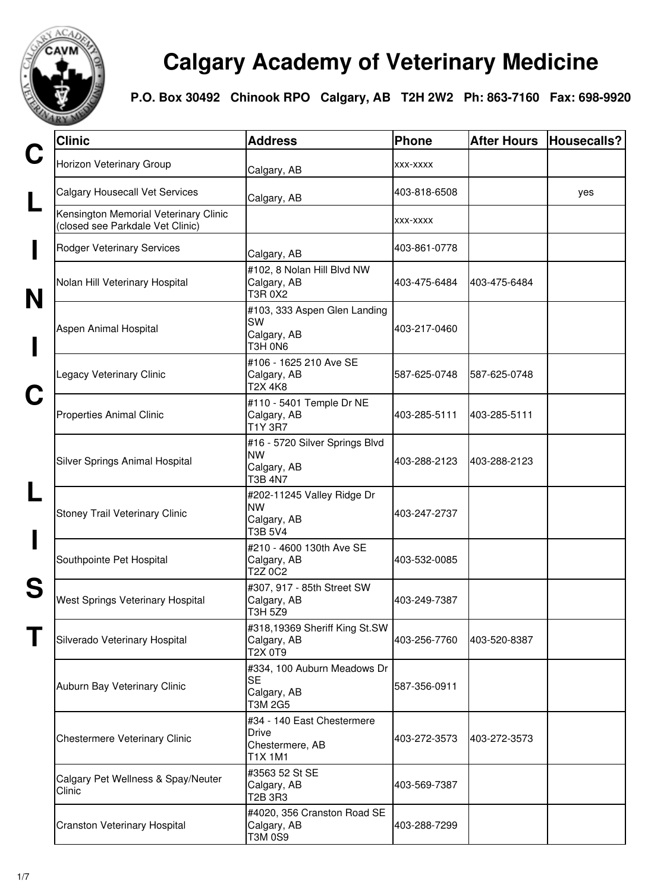

## **Calgary Academy of Veterinary Medicine**

**P.O. Box 30492 Chinook RPO Calgary, AB T2H 2W2 Ph: 863-7160 Fax: 698-9920**

| <b>Clinic</b>                                                             | <b>Address</b>                                                                  | Phone        | <b>After Hours</b> | Housecalls? |
|---------------------------------------------------------------------------|---------------------------------------------------------------------------------|--------------|--------------------|-------------|
| Horizon Veterinary Group                                                  | Calgary, AB                                                                     | XXX-XXXX     |                    |             |
| <b>Calgary Housecall Vet Services</b>                                     | Calgary, AB                                                                     | 403-818-6508 |                    | yes         |
| Kensington Memorial Veterinary Clinic<br>(closed see Parkdale Vet Clinic) |                                                                                 | XXX-XXXX     |                    |             |
| <b>Rodger Veterinary Services</b>                                         | Calgary, AB                                                                     | 403-861-0778 |                    |             |
| Nolan Hill Veterinary Hospital                                            | #102, 8 Nolan Hill Blvd NW<br>Calgary, AB<br>T3R 0X2                            | 403-475-6484 | 403-475-6484       |             |
| Aspen Animal Hospital                                                     | #103, 333 Aspen Glen Landing<br>SW<br>Calgary, AB<br>T3H 0N6                    | 403-217-0460 |                    |             |
| Legacy Veterinary Clinic                                                  | #106 - 1625 210 Ave SE<br>Calgary, AB<br>T2X 4K8                                | 587-625-0748 | 587-625-0748       |             |
| <b>Properties Animal Clinic</b>                                           | #110 - 5401 Temple Dr NE<br>Calgary, AB<br>T1Y 3R7                              | 403-285-5111 | 403-285-5111       |             |
| Silver Springs Animal Hospital                                            | #16 - 5720 Silver Springs Blvd<br><b>NW</b><br>Calgary, AB<br><b>T3B 4N7</b>    | 403-288-2123 | 403-288-2123       |             |
| Stoney Trail Veterinary Clinic                                            | #202-11245 Valley Ridge Dr<br><b>NW</b><br>Calgary, AB<br><b>T3B 5V4</b>        | 403-247-2737 |                    |             |
| Southpointe Pet Hospital                                                  | #210 - 4600 130th Ave SE<br>Calgary, AB<br>T2Z 0C2                              | 403-532-0085 |                    |             |
| West Springs Veterinary Hospital                                          | #307, 917 - 85th Street SW<br>Calgary, AB<br>T3H 5Z9                            | 403-249-7387 |                    |             |
| Silverado Veterinary Hospital                                             | #318,19369 Sheriff King St.SW<br>Calgary, AB<br>T2X 0T9                         | 403-256-7760 | 403-520-8387       |             |
| Auburn Bay Veterinary Clinic                                              | #334, 100 Auburn Meadows Dr<br><b>SE</b><br>Calgary, AB<br>T3M 2G5              | 587-356-0911 |                    |             |
| Chestermere Veterinary Clinic                                             | #34 - 140 East Chestermere<br><b>Drive</b><br>Chestermere, AB<br><b>T1X 1M1</b> | 403-272-3573 | 403-272-3573       |             |
| Calgary Pet Wellness & Spay/Neuter<br>Clinic                              | #3563 52 St SE<br>Calgary, AB<br>T2B 3R3                                        | 403-569-7387 |                    |             |
| Cranston Veterinary Hospital                                              | #4020, 356 Cranston Road SE<br>Calgary, AB<br><b>T3M 0S9</b>                    | 403-288-7299 |                    |             |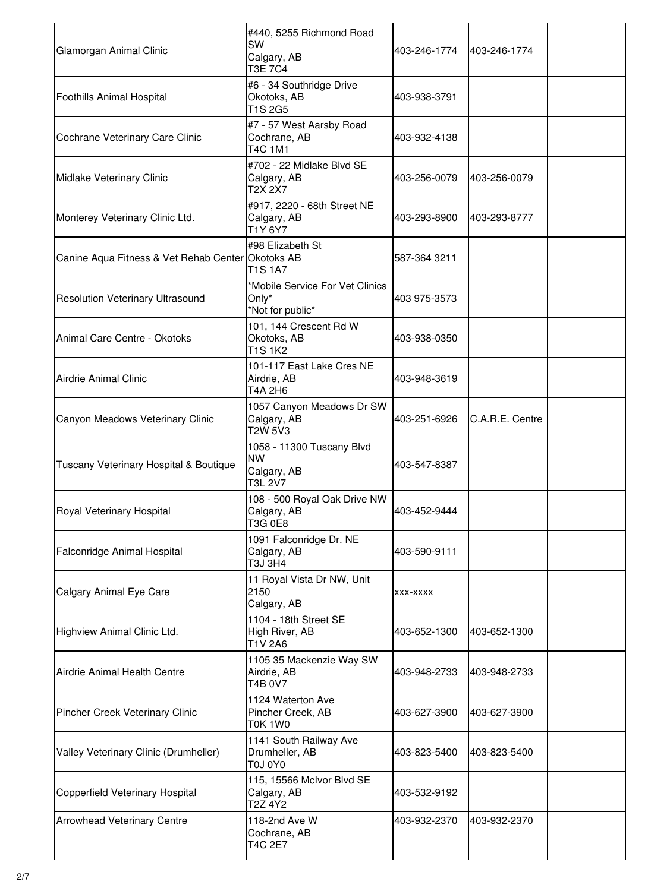| Glamorgan Animal Clinic                           | #440, 5255 Richmond Road<br>SW<br>Calgary, AB<br><b>T3E 7C4</b>  | 403-246-1774 | 403-246-1774    |
|---------------------------------------------------|------------------------------------------------------------------|--------------|-----------------|
| Foothills Animal Hospital                         | #6 - 34 Southridge Drive<br>Okotoks, AB<br><b>T1S 2G5</b>        | 403-938-3791 |                 |
| Cochrane Veterinary Care Clinic                   | #7 - 57 West Aarsby Road<br>Cochrane, AB<br><b>T4C 1M1</b>       | 403-932-4138 |                 |
| Midlake Veterinary Clinic                         | #702 - 22 Midlake Blvd SE<br>Calgary, AB<br>T2X 2X7              | 403-256-0079 | 403-256-0079    |
| Monterey Veterinary Clinic Ltd.                   | #917, 2220 - 68th Street NE<br>Calgary, AB<br>T1Y 6Y7            | 403-293-8900 | 403-293-8777    |
| Canine Aqua Fitness & Vet Rehab Center Okotoks AB | #98 Elizabeth St<br><b>T1S 1A7</b>                               | 587-364 3211 |                 |
| <b>Resolution Veterinary Ultrasound</b>           | *Mobile Service For Vet Clinics<br>Only*<br>*Not for public*     | 403 975-3573 |                 |
| Animal Care Centre - Okotoks                      | 101, 144 Crescent Rd W<br>Okotoks, AB<br><b>T1S1K2</b>           | 403-938-0350 |                 |
| <b>Airdrie Animal Clinic</b>                      | 101-117 East Lake Cres NE<br>Airdrie, AB<br>T4A 2H6              | 403-948-3619 |                 |
| Canyon Meadows Veterinary Clinic                  | 1057 Canyon Meadows Dr SW<br>Calgary, AB<br>T2W 5V3              | 403-251-6926 | C.A.R.E. Centre |
| Tuscany Veterinary Hospital & Boutique            | 1058 - 11300 Tuscany Blvd<br><b>NW</b><br>Calgary, AB<br>T3L 2V7 | 403-547-8387 |                 |
| Royal Veterinary Hospital                         | 108 - 500 Royal Oak Drive NW<br>Calgary, AB<br><b>T3G 0E8</b>    | 403-452-9444 |                 |
| Falconridge Animal Hospital                       | 1091 Falconridge Dr. NE<br>Calgary, AB<br>T3J 3H4                | 403-590-9111 |                 |
| Calgary Animal Eye Care                           | 11 Royal Vista Dr NW, Unit<br>2150<br>Calgary, AB                | XXX-XXXX     |                 |
| Highview Animal Clinic Ltd.                       | 1104 - 18th Street SE<br>High River, AB<br>T1V 2A6               | 403-652-1300 | 403-652-1300    |
| Airdrie Animal Health Centre                      | 1105 35 Mackenzie Way SW<br>Airdrie, AB<br>T4B 0V7               | 403-948-2733 | 403-948-2733    |
| Pincher Creek Veterinary Clinic                   | 1124 Waterton Ave<br>Pincher Creek, AB<br>T0K 1W0                | 403-627-3900 | 403-627-3900    |
| Valley Veterinary Clinic (Drumheller)             | 1141 South Railway Ave<br>Drumheller, AB<br><b>T0J 0Y0</b>       | 403-823-5400 | 403-823-5400    |
| Copperfield Veterinary Hospital                   | 115, 15566 McIvor Blvd SE<br>Calgary, AB<br>T2Z 4Y2              | 403-532-9192 |                 |
| <b>Arrowhead Veterinary Centre</b>                | 118-2nd Ave W<br>Cochrane, AB<br>T4C 2E7                         | 403-932-2370 | 403-932-2370    |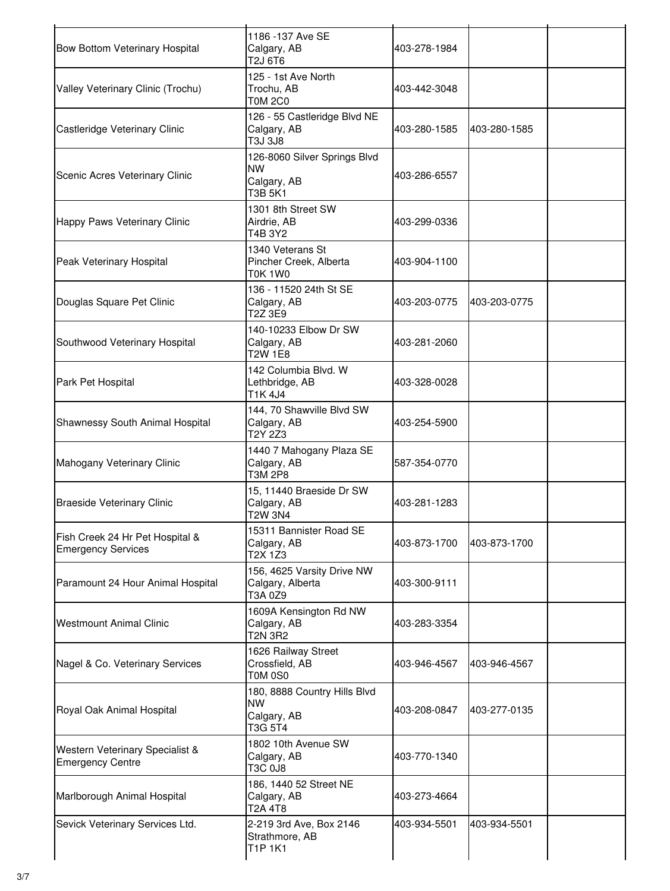| <b>Bow Bottom Veterinary Hospital</b>                        | 1186 -137 Ave SE<br>Calgary, AB<br>T2J 6T6                          | 403-278-1984 |              |  |
|--------------------------------------------------------------|---------------------------------------------------------------------|--------------|--------------|--|
| Valley Veterinary Clinic (Trochu)                            | 125 - 1st Ave North<br>Trochu, AB<br><b>TOM 2C0</b>                 | 403-442-3048 |              |  |
| Castleridge Veterinary Clinic                                | 126 - 55 Castleridge Blvd NE<br>Calgary, AB<br>T3J 3J8              | 403-280-1585 | 403-280-1585 |  |
| Scenic Acres Veterinary Clinic                               | 126-8060 Silver Springs Blvd<br><b>NW</b><br>Calgary, AB<br>T3B 5K1 | 403-286-6557 |              |  |
| Happy Paws Veterinary Clinic                                 | 1301 8th Street SW<br>Airdrie, AB<br>T4B 3Y2                        | 403-299-0336 |              |  |
| Peak Veterinary Hospital                                     | 1340 Veterans St<br>Pincher Creek, Alberta<br>T0K 1W0               | 403-904-1100 |              |  |
| Douglas Square Pet Clinic                                    | 136 - 11520 24th St SE<br>Calgary, AB<br>T2Z 3E9                    | 403-203-0775 | 403-203-0775 |  |
| Southwood Veterinary Hospital                                | 140-10233 Elbow Dr SW<br>Calgary, AB<br>T2W 1E8                     | 403-281-2060 |              |  |
| Park Pet Hospital                                            | 142 Columbia Blvd. W<br>Lethbridge, AB<br>T1K 4J4                   | 403-328-0028 |              |  |
| Shawnessy South Animal Hospital                              | 144, 70 Shawville Blvd SW<br>Calgary, AB<br>T2Y 2Z3                 | 403-254-5900 |              |  |
| Mahogany Veterinary Clinic                                   | 1440 7 Mahogany Plaza SE<br>Calgary, AB<br>T3M 2P8                  | 587-354-0770 |              |  |
| <b>Braeside Veterinary Clinic</b>                            | 15, 11440 Braeside Dr SW<br>Calgary, AB<br><b>T2W 3N4</b>           | 403-281-1283 |              |  |
| Fish Creek 24 Hr Pet Hospital &<br><b>Emergency Services</b> | 15311 Bannister Road SE<br>Calgary, AB<br>T2X 1Z3                   | 403-873-1700 | 403-873-1700 |  |
| Paramount 24 Hour Animal Hospital                            | 156, 4625 Varsity Drive NW<br>Calgary, Alberta<br>T3A 0Z9           | 403-300-9111 |              |  |
| <b>Westmount Animal Clinic</b>                               | 1609A Kensington Rd NW<br>Calgary, AB<br>T2N 3R2                    | 403-283-3354 |              |  |
| Nagel & Co. Veterinary Services                              | 1626 Railway Street<br>Crossfield, AB<br>T0M 0S0                    | 403-946-4567 | 403-946-4567 |  |
| Royal Oak Animal Hospital                                    | 180, 8888 Country Hills Blvd<br>NW<br>Calgary, AB<br>T3G 5T4        | 403-208-0847 | 403-277-0135 |  |
| Western Veterinary Specialist &<br><b>Emergency Centre</b>   | 1802 10th Avenue SW<br>Calgary, AB<br>T3C 0J8                       | 403-770-1340 |              |  |
| Marlborough Animal Hospital                                  | 186, 1440 52 Street NE<br>Calgary, AB<br>T2A 4T8                    | 403-273-4664 |              |  |
| Sevick Veterinary Services Ltd.                              | 2-219 3rd Ave, Box 2146<br>Strathmore, AB<br>T1P 1K1                | 403-934-5501 | 403-934-5501 |  |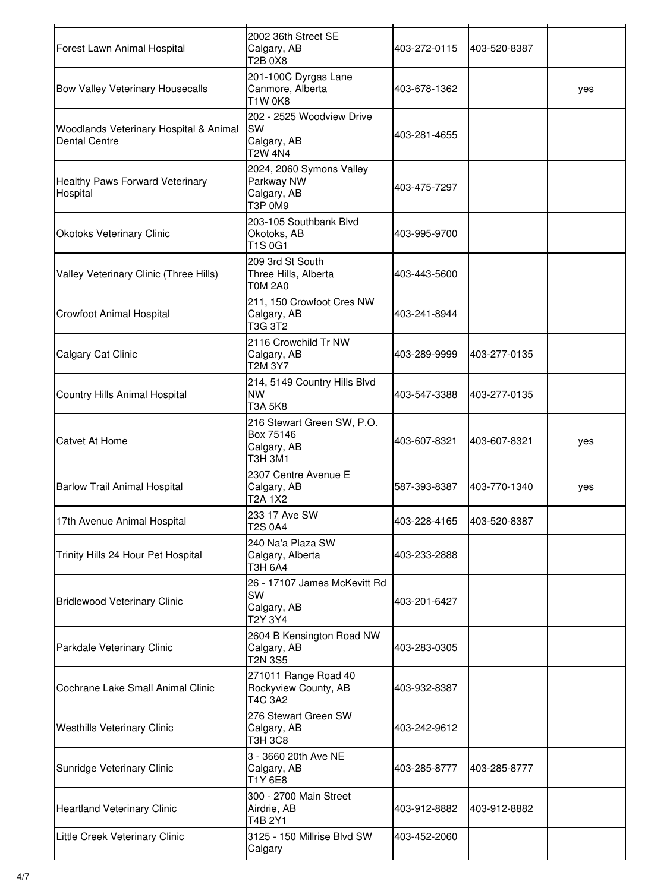| Forest Lawn Animal Hospital                                    | 2002 36th Street SE<br>Calgary, AB<br><b>T2B 0X8</b>                    | 403-272-0115 | 403-520-8387 |     |
|----------------------------------------------------------------|-------------------------------------------------------------------------|--------------|--------------|-----|
| Bow Valley Veterinary Housecalls                               | 201-100C Dyrgas Lane<br>Canmore, Alberta<br><b>T1W 0K8</b>              | 403-678-1362 |              | yes |
| Woodlands Veterinary Hospital & Animal<br><b>Dental Centre</b> | 202 - 2525 Woodview Drive<br><b>SW</b><br>Calgary, AB<br><b>T2W 4N4</b> | 403-281-4655 |              |     |
| Healthy Paws Forward Veterinary<br>Hospital                    | 2024, 2060 Symons Valley<br>Parkway NW<br>Calgary, AB<br>T3P 0M9        | 403-475-7297 |              |     |
| <b>Okotoks Veterinary Clinic</b>                               | 203-105 Southbank Blvd<br>Okotoks, AB<br>T1S 0G1                        | 403-995-9700 |              |     |
| Valley Veterinary Clinic (Three Hills)                         | 209 3rd St South<br>Three Hills, Alberta<br><b>T0M 2A0</b>              | 403-443-5600 |              |     |
| Crowfoot Animal Hospital                                       | 211, 150 Crowfoot Cres NW<br>Calgary, AB<br>T3G 3T2                     | 403-241-8944 |              |     |
| Calgary Cat Clinic                                             | 2116 Crowchild Tr NW<br>Calgary, AB<br>T2M 3Y7                          | 403-289-9999 | 403-277-0135 |     |
| Country Hills Animal Hospital                                  | 214, 5149 Country Hills Blvd<br><b>NW</b><br><b>T3A 5K8</b>             | 403-547-3388 | 403-277-0135 |     |
| <b>Catvet At Home</b>                                          | 216 Stewart Green SW, P.O.<br>Box 75146<br>Calgary, AB<br>T3H 3M1       | 403-607-8321 | 403-607-8321 | yes |
| <b>Barlow Trail Animal Hospital</b>                            | 2307 Centre Avenue E<br>Calgary, AB<br>T2A 1X2                          | 587-393-8387 | 403-770-1340 | yes |
| 17th Avenue Animal Hospital                                    | 233 17 Ave SW<br><b>T2S 0A4</b>                                         | 403-228-4165 | 403-520-8387 |     |
| Trinity Hills 24 Hour Pet Hospital                             | 240 Na'a Plaza SW<br>Calgary, Alberta<br>T3H 6A4                        | 403-233-2888 |              |     |
| <b>Bridlewood Veterinary Clinic</b>                            | 26 - 17107 James McKevitt Rd<br>SW<br>Calgary, AB<br>T2Y 3Y4            | 403-201-6427 |              |     |
| Parkdale Veterinary Clinic                                     | 2604 B Kensington Road NW<br>Calgary, AB<br>T2N 3S5                     | 403-283-0305 |              |     |
| Cochrane Lake Small Animal Clinic                              | 271011 Range Road 40<br>Rockyview County, AB<br>T4C 3A2                 | 403-932-8387 |              |     |
| <b>Westhills Veterinary Clinic</b>                             | 276 Stewart Green SW<br>Calgary, AB<br><b>T3H 3C8</b>                   | 403-242-9612 |              |     |
| Sunridge Veterinary Clinic                                     | 3 - 3660 20th Ave NE<br>Calgary, AB<br>T1Y 6E8                          | 403-285-8777 | 403-285-8777 |     |
| <b>Heartland Veterinary Clinic</b>                             | 300 - 2700 Main Street<br>Airdrie, AB<br>T4B 2Y1                        | 403-912-8882 | 403-912-8882 |     |
| Little Creek Veterinary Clinic                                 | 3125 - 150 Millrise Blvd SW<br>Calgary                                  | 403-452-2060 |              |     |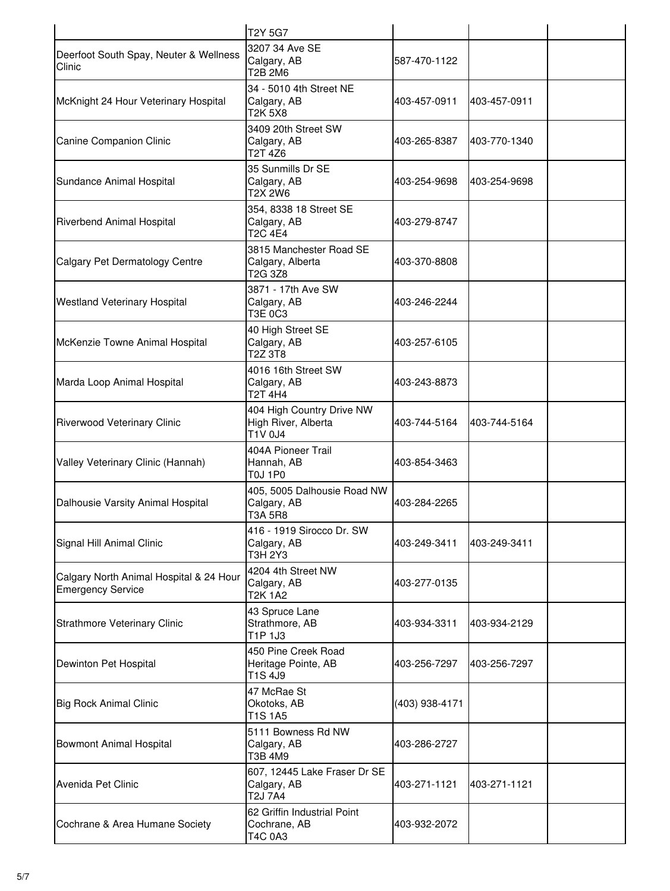|                                                                     | <b>T2Y 5G7</b>                                                |                |              |
|---------------------------------------------------------------------|---------------------------------------------------------------|----------------|--------------|
| Deerfoot South Spay, Neuter & Wellness<br>Clinic                    | 3207 34 Ave SE<br>Calgary, AB<br>T2B 2M6                      | 587-470-1122   |              |
| McKnight 24 Hour Veterinary Hospital                                | 34 - 5010 4th Street NE<br>Calgary, AB<br>T2K 5X8             | 403-457-0911   | 403-457-0911 |
| Canine Companion Clinic                                             | 3409 20th Street SW<br>Calgary, AB<br>T2T 4Z6                 | 403-265-8387   | 403-770-1340 |
| Sundance Animal Hospital                                            | 35 Sunmills Dr SE<br>Calgary, AB<br>T2X 2W6                   | 403-254-9698   | 403-254-9698 |
| Riverbend Animal Hospital                                           | 354, 8338 18 Street SE<br>Calgary, AB<br>T <sub>2</sub> C 4E4 | 403-279-8747   |              |
| Calgary Pet Dermatology Centre                                      | 3815 Manchester Road SE<br>Calgary, Alberta<br>T2G 3Z8        | 403-370-8808   |              |
| <b>Westland Veterinary Hospital</b>                                 | 3871 - 17th Ave SW<br>Calgary, AB<br>T3E 0C3                  | 403-246-2244   |              |
| McKenzie Towne Animal Hospital                                      | 40 High Street SE<br>Calgary, AB<br>T2Z 3T8                   | 403-257-6105   |              |
| Marda Loop Animal Hospital                                          | 4016 16th Street SW<br>Calgary, AB<br><b>T2T 4H4</b>          | 403-243-8873   |              |
| Riverwood Veterinary Clinic                                         | 404 High Country Drive NW<br>High River, Alberta<br>T1V 0J4   | 403-744-5164   | 403-744-5164 |
| Valley Veterinary Clinic (Hannah)                                   | 404A Pioneer Trail<br>Hannah, AB<br><b>T0J 1P0</b>            | 403-854-3463   |              |
| Dalhousie Varsity Animal Hospital                                   | 405, 5005 Dalhousie Road NW<br>Calgary, AB<br>T3A 5R8         | 403-284-2265   |              |
| Signal Hill Animal Clinic                                           | 416 - 1919 Sirocco Dr. SW<br>Calgary, AB<br>T3H 2Y3           | 403-249-3411   | 403-249-3411 |
| Calgary North Animal Hospital & 24 Hour<br><b>Emergency Service</b> | 4204 4th Street NW<br>Calgary, AB<br>T2K 1A2                  | 403-277-0135   |              |
| <b>Strathmore Veterinary Clinic</b>                                 | 43 Spruce Lane<br>Strathmore, AB<br>T1P 1J3                   | 403-934-3311   | 403-934-2129 |
| Dewinton Pet Hospital                                               | 450 Pine Creek Road<br>Heritage Pointe, AB<br>T1S 4J9         | 403-256-7297   | 403-256-7297 |
| <b>Big Rock Animal Clinic</b>                                       | 47 McRae St<br>Okotoks, AB<br>T1S 1A5                         | (403) 938-4171 |              |
| <b>Bowmont Animal Hospital</b>                                      | 5111 Bowness Rd NW<br>Calgary, AB<br>T3B 4M9                  | 403-286-2727   |              |
| Avenida Pet Clinic                                                  | 607, 12445 Lake Fraser Dr SE<br>Calgary, AB<br>T2J 7A4        | 403-271-1121   | 403-271-1121 |
| Cochrane & Area Humane Society                                      | 62 Griffin Industrial Point<br>Cochrane, AB<br>T4C 0A3        | 403-932-2072   |              |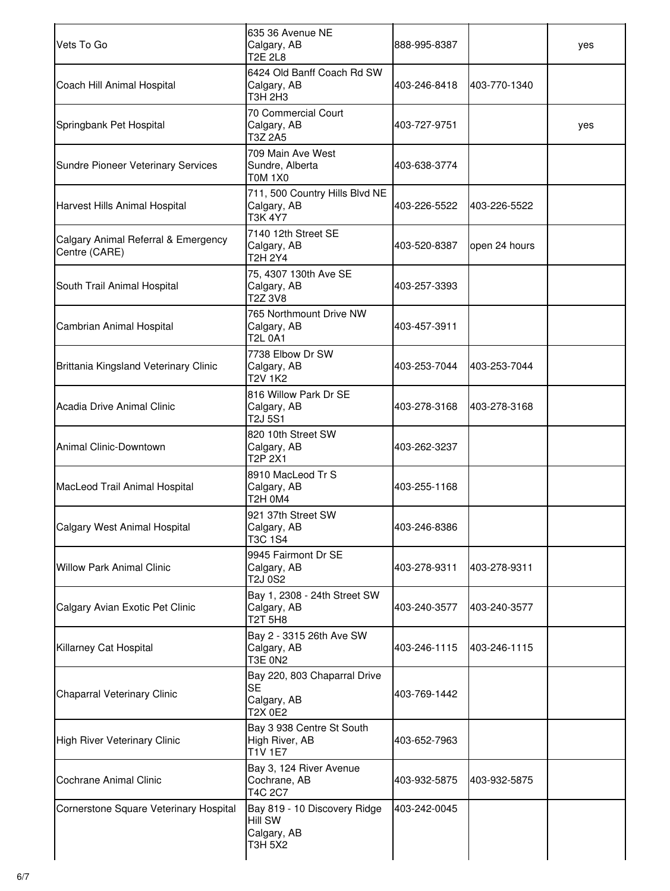| Vets To Go                                           | 635 36 Avenue NE<br>Calgary, AB<br><b>T2E 2L8</b>                   | 888-995-8387 |               | yes |
|------------------------------------------------------|---------------------------------------------------------------------|--------------|---------------|-----|
| Coach Hill Animal Hospital                           | 6424 Old Banff Coach Rd SW<br>Calgary, AB<br>T3H 2H3                | 403-246-8418 | 403-770-1340  |     |
| Springbank Pet Hospital                              | 70 Commercial Court<br>Calgary, AB<br>T3Z 2A5                       | 403-727-9751 |               | yes |
| Sundre Pioneer Veterinary Services                   | 709 Main Ave West<br>Sundre, Alberta<br><b>T0M 1X0</b>              | 403-638-3774 |               |     |
| Harvest Hills Animal Hospital                        | 711, 500 Country Hills Blvd NE<br>Calgary, AB<br><b>T3K 4Y7</b>     | 403-226-5522 | 403-226-5522  |     |
| Calgary Animal Referral & Emergency<br>Centre (CARE) | 7140 12th Street SE<br>Calgary, AB<br>T2H 2Y4                       | 403-520-8387 | open 24 hours |     |
| South Trail Animal Hospital                          | 75, 4307 130th Ave SE<br>Calgary, AB<br>T2Z 3V8                     | 403-257-3393 |               |     |
| Cambrian Animal Hospital                             | 765 Northmount Drive NW<br>Calgary, AB<br>T2L 0A1                   | 403-457-3911 |               |     |
| Brittania Kingsland Veterinary Clinic                | 7738 Elbow Dr SW<br>Calgary, AB<br>T2V 1K2                          | 403-253-7044 | 403-253-7044  |     |
| Acadia Drive Animal Clinic                           | 816 Willow Park Dr SE<br>Calgary, AB<br>T2J 5S1                     | 403-278-3168 | 403-278-3168  |     |
| Animal Clinic-Downtown                               | 820 10th Street SW<br>Calgary, AB<br>T2P 2X1                        | 403-262-3237 |               |     |
| MacLeod Trail Animal Hospital                        | 8910 MacLeod Tr S<br>Calgary, AB<br>T2H 0M4                         | 403-255-1168 |               |     |
| Calgary West Animal Hospital                         | 921 37th Street SW<br>Calgary, AB<br>T3C 1S4                        | 403-246-8386 |               |     |
| <b>Willow Park Animal Clinic</b>                     | 9945 Fairmont Dr SE<br>Calgary, AB<br>T2J 0S2                       | 403-278-9311 | 403-278-9311  |     |
| Calgary Avian Exotic Pet Clinic                      | Bay 1, 2308 - 24th Street SW<br>Calgary, AB<br>T2T 5H8              | 403-240-3577 | 403-240-3577  |     |
| Killarney Cat Hospital                               | Bay 2 - 3315 26th Ave SW<br>Calgary, AB<br><b>T3E 0N2</b>           | 403-246-1115 | 403-246-1115  |     |
| Chaparral Veterinary Clinic                          | Bay 220, 803 Chaparral Drive<br><b>SE</b><br>Calgary, AB<br>T2X 0E2 | 403-769-1442 |               |     |
| High River Veterinary Clinic                         | Bay 3 938 Centre St South<br>High River, AB<br><b>T1V 1E7</b>       | 403-652-7963 |               |     |
| Cochrane Animal Clinic                               | Bay 3, 124 River Avenue<br>Cochrane, AB<br>T4C 2C7                  | 403-932-5875 | 403-932-5875  |     |
| Cornerstone Square Veterinary Hospital               | Bay 819 - 10 Discovery Ridge<br>Hill SW<br>Calgary, AB<br>T3H 5X2   | 403-242-0045 |               |     |